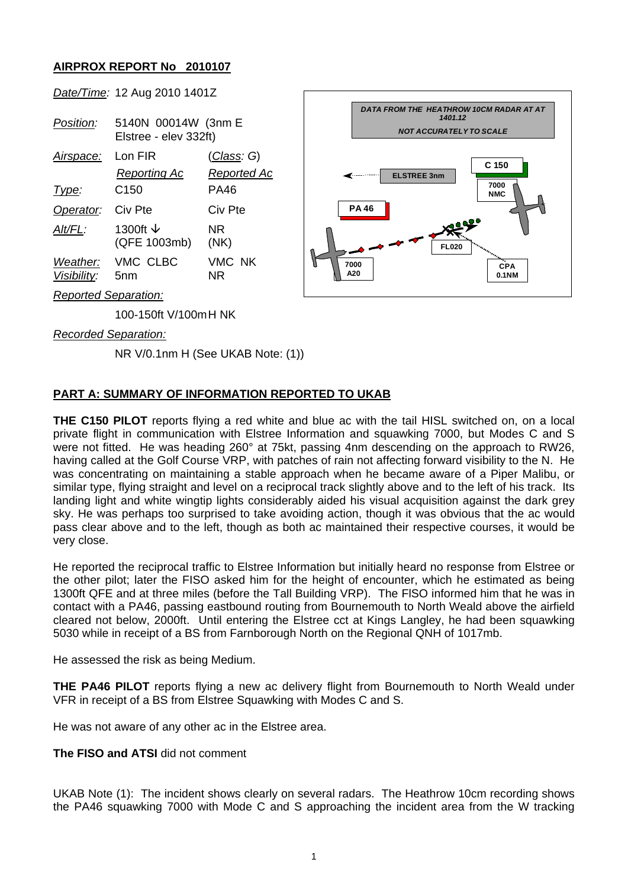## **AIRPROX REPORT No 2010107**

*Date/Time:* 12 Aug 2010 1401Z

| Position:                   | 5140N 00014W (3nm E<br>Elstree - elev 332ft) |                                   |
|-----------------------------|----------------------------------------------|-----------------------------------|
| Airspace:                   | Lon FIR<br>Reporting Ac                      | <u>(Class</u> : G)<br>Reported Ac |
| Type:                       | C150                                         | PA46                              |
| Operator:                   | Civ Pte                                      | Civ Pte                           |
| Alt/FL:                     | 1300ft $\downarrow$<br>(QFE 1003mb)          | NR<br>(NK)                        |
| Visibility: 5nm             | Weather: VMC CLBC                            | VMC NK<br>NR                      |
| <b>Reported Separation:</b> |                                              |                                   |



*Recorded Separation:*

NR V/0.1nm H (See UKAB Note: (1))

100-150ft V/100m H NK

## **PART A: SUMMARY OF INFORMATION REPORTED TO UKAB**

**THE C150 PILOT** reports flying a red white and blue ac with the tail HISL switched on, on a local private flight in communication with Elstree Information and squawking 7000, but Modes C and S were not fitted. He was heading 260° at 75kt, passing 4nm descending on the approach to RW26, having called at the Golf Course VRP, with patches of rain not affecting forward visibility to the N. He was concentrating on maintaining a stable approach when he became aware of a Piper Malibu, or similar type, flying straight and level on a reciprocal track slightly above and to the left of his track. Its landing light and white wingtip lights considerably aided his visual acquisition against the dark grey sky. He was perhaps too surprised to take avoiding action, though it was obvious that the ac would pass clear above and to the left, though as both ac maintained their respective courses, it would be very close.

He reported the reciprocal traffic to Elstree Information but initially heard no response from Elstree or the other pilot; later the FISO asked him for the height of encounter, which he estimated as being 1300ft QFE and at three miles (before the Tall Building VRP). The FlSO informed him that he was in contact with a PA46, passing eastbound routing from Bournemouth to North Weald above the airfield cleared not below, 2000ft. Until entering the Elstree cct at Kings Langley, he had been squawking 5030 while in receipt of a BS from Farnborough North on the Regional QNH of 1017mb.

He assessed the risk as being Medium.

**THE PA46 PILOT** reports flying a new ac delivery flight from Bournemouth to North Weald under VFR in receipt of a BS from Elstree Squawking with Modes C and S.

He was not aware of any other ac in the Elstree area.

**The FISO and ATSI** did not comment

UKAB Note (1): The incident shows clearly on several radars. The Heathrow 10cm recording shows the PA46 squawking 7000 with Mode C and S approaching the incident area from the W tracking